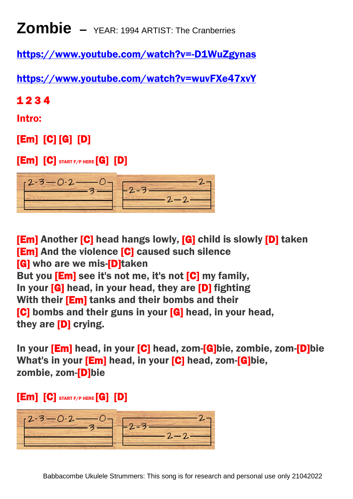**Zombie –** YEAR: 1994 ARTIST: The Cranberries

<https://www.youtube.com/watch?v=-D1WuZgynas>

<https://www.youtube.com/watch?v=wuvFXe47xvY>

1 2 3 4

Intro:

[Em] [C] [G] [D]

 $[Em] [C]$  START F/P HERE  $[G] [D]$ 



[Em] Another [C] head hangs lowly, [G] child is slowly [D] taken [**Em**] And the violence [**C**] caused such silence **[G]** who are we mis-**[D]**taken But you **[Em]** see it's not me, it's not **[C]** my family, In your **[G]** head, in your head, they are **[D]** fighting With their [Em] tanks and their bombs and their [C] bombs and their guns in your [G] head, in your head, they are [D] crying.

In your [Em] head, in your [C] head, zom-[G]bie, zombie, zom-[D]bie What's in your [**Em**] head, in your [C] head, zom-[G]bie, zombie, zom-[D]bie

 $[Em] [C]$  Start f/p here  $[G] [D]$